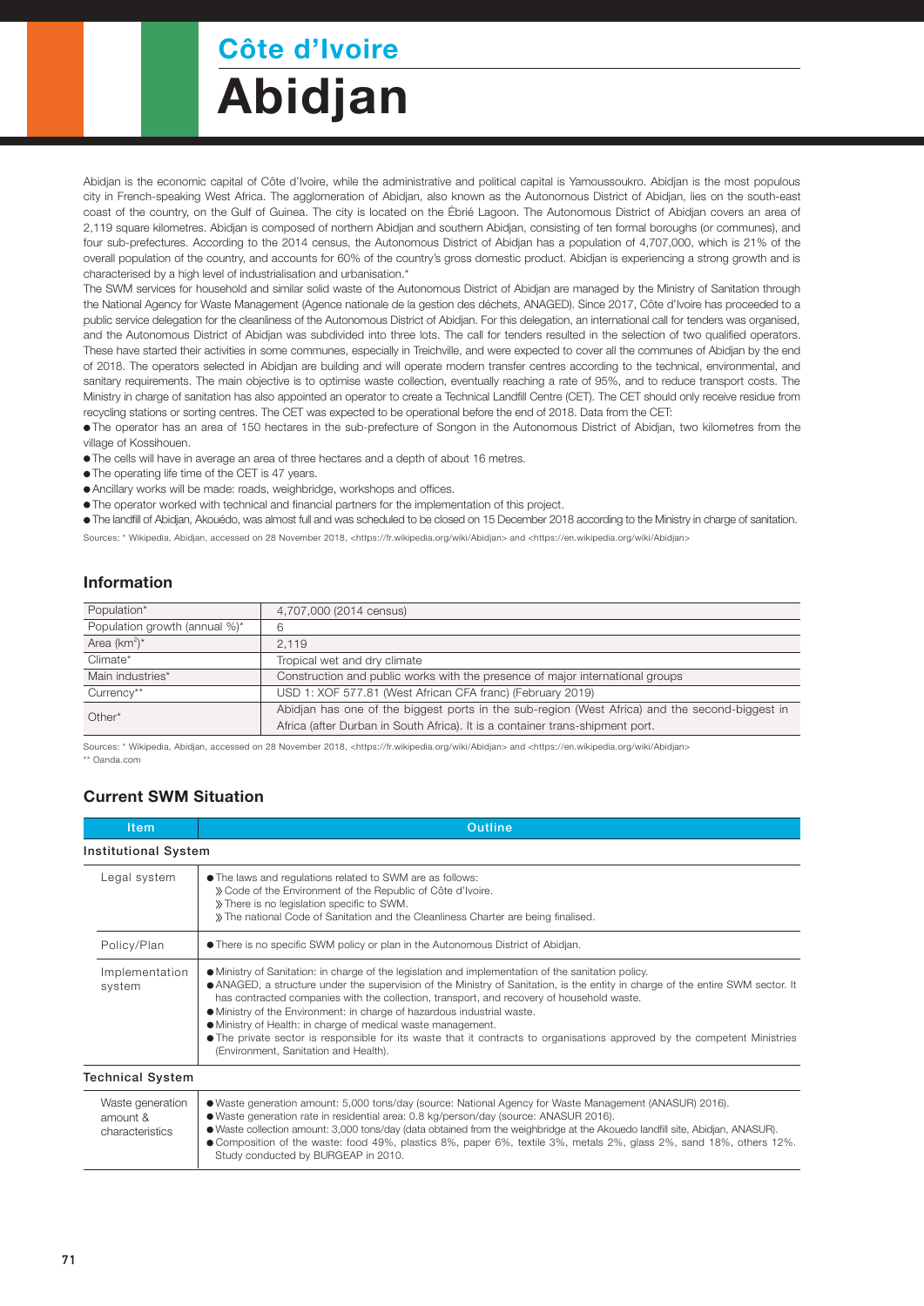## Côte d'Ivoire

# Abidjan

Abidjan is the economic capital of Côte d'Ivoire, while the administrative and political capital is Yamoussoukro. Abidjan is the most populous city in French-speaking West Africa. The agglomeration of Abidjan, also known as the Autonomous District of Abidjan, lies on the south-east coast of the country, on the Gulf of Guinea. The city is located on the Ébrié Lagoon. The Autonomous District of Abidjan covers an area of 2,119 square kilometres. Abidjan is composed of northern Abidjan and southern Abidjan, consisting of ten formal boroughs (or communes), and four sub-prefectures. According to the 2014 census, the Autonomous District of Abidjan has a population of 4,707,000, which is 21% of the overall population of the country, and accounts for 60% of the country's gross domestic product. Abidjan is experiencing a strong growth and is characterised by a high level of industrialisation and urbanisation.\*

The SWM services for household and similar solid waste of the Autonomous District of Abidjan are managed by the Ministry of Sanitation through the National Agency for Waste Management (Agence nationale de la gestion des déchets, ANAGED). Since 2017, Côte d'Ivoire has proceeded to a public service delegation for the cleanliness of the Autonomous District of Abidjan. For this delegation, an international call for tenders was organised, and the Autonomous District of Abidjan was subdivided into three lots. The call for tenders resulted in the selection of two qualified operators. These have started their activities in some communes, especially in Treichville, and were expected to cover all the communes of Abidjan by the end of 2018. The operators selected in Abidjan are building and will operate modern transfer centres according to the technical, environmental, and sanitary requirements. The main objective is to optimise waste collection, eventually reaching a rate of 95%, and to reduce transport costs. The Ministry in charge of sanitation has also appointed an operator to create a Technical Landfill Centre (CET). The CET should only receive residue from recycling stations or sorting centres. The CET was expected to be operational before the end of 2018. Data from the CET:

The operator has an area of 150 hectares in the sub-prefecture of Songon in the Autonomous District of Abidjan, two kilometres from the village of Kossihouen.

- The cells will have in average an area of three hectares and a depth of about 16 metres.
- The operating life time of the CET is 47 years.
- Ancillary works will be made: roads, weighbridge, workshops and offices.
- The operator worked with technical and financial partners for the implementation of this project.
- The landfill of Abidjan, Akouédo, was almost full and was scheduled to be closed on 15 December 2018 according to the Ministry in charge of sanitation. Sources: \* Wikipedia, Abidjan, accessed on 28 November 2018, <https://fr.wikipedia.org/wiki/Abidjan> and <https://en.wikipedia.org/wiki/Abidjan>

#### Information

| Population*                   | 4,707,000 (2014 census)                                                                        |  |
|-------------------------------|------------------------------------------------------------------------------------------------|--|
| Population growth (annual %)* | 6                                                                                              |  |
| Area $(km^2)^*$               | 2.119                                                                                          |  |
| Climate*                      | Tropical wet and dry climate                                                                   |  |
| Main industries*              | Construction and public works with the presence of major international groups                  |  |
| Currency**                    | USD 1: XOF 577.81 (West African CFA franc) (February 2019)                                     |  |
| $Other*$                      | Abidian has one of the biggest ports in the sub-region (West Africa) and the second-biggest in |  |
|                               | Africa (after Durban in South Africa). It is a container trans-shipment port.                  |  |

Sources: \* Wikipedia, Abidjan, accessed on 28 November 2018, <https://fr.wikipedia.org/wiki/Abidjan> and <https://en.wikipedia.org/wiki/Abidjan> \*\* Oanda.com

#### Current SWM Situation

| <b>Item</b>                                     | <b>Outline</b>                                                                                                                                                                                                                                                                                                                                                                                                                                                                                                                                                                                                                                       |  |  |
|-------------------------------------------------|------------------------------------------------------------------------------------------------------------------------------------------------------------------------------------------------------------------------------------------------------------------------------------------------------------------------------------------------------------------------------------------------------------------------------------------------------------------------------------------------------------------------------------------------------------------------------------------------------------------------------------------------------|--|--|
| Institutional System                            |                                                                                                                                                                                                                                                                                                                                                                                                                                                                                                                                                                                                                                                      |  |  |
| Legal system                                    | • The laws and regulations related to SWM are as follows:<br>» Code of the Environment of the Republic of Côte d'Ivoire.<br>» There is no legislation specific to SWM.<br>» The national Code of Sanitation and the Cleanliness Charter are being finalised.                                                                                                                                                                                                                                                                                                                                                                                         |  |  |
| Policy/Plan                                     | • There is no specific SWM policy or plan in the Autonomous District of Abidjan.                                                                                                                                                                                                                                                                                                                                                                                                                                                                                                                                                                     |  |  |
| Implementation<br>system                        | • Ministry of Sanitation: in charge of the legislation and implementation of the sanitation policy.<br>• ANAGED, a structure under the supervision of the Ministry of Sanitation, is the entity in charge of the entire SWM sector. It<br>has contracted companies with the collection, transport, and recovery of household waste.<br>• Ministry of the Environment: in charge of hazardous industrial waste.<br>· Ministry of Health: in charge of medical waste management.<br>• The private sector is responsible for its waste that it contracts to organisations approved by the competent Ministries<br>(Environment, Sanitation and Health). |  |  |
| Technical System                                |                                                                                                                                                                                                                                                                                                                                                                                                                                                                                                                                                                                                                                                      |  |  |
| Waste generation<br>amount &<br>characteristics | • Waste generation amount: 5,000 tons/day (source: National Agency for Waste Management (ANASUR) 2016).<br>• Waste generation rate in residential area: 0.8 kg/person/day (source: ANASUR 2016).<br>• Waste collection amount: 3,000 tons/day (data obtained from the weighbridge at the Akouedo landfill site, Abidjan, ANASUR).<br>● Composition of the waste: food 49%, plastics 8%, paper 6%, textile 3%, metals 2%, glass 2%, sand 18%, others 12%.<br>Study conducted by BURGEAP in 2010.                                                                                                                                                      |  |  |